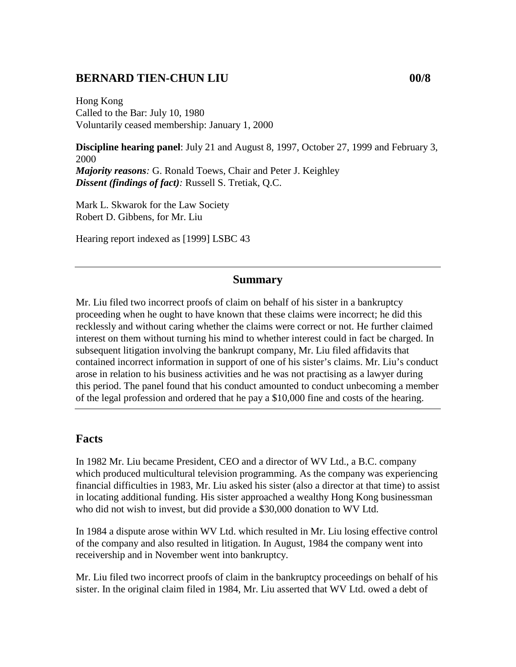### **BERNARD TIEN-CHUN LIU 00/8**

Hong Kong Called to the Bar: July 10, 1980 Voluntarily ceased membership: January 1, 2000

**Discipline hearing panel**: July 21 and August 8, 1997, October 27, 1999 and February 3, 2000 *Majority reasons:* G. Ronald Toews, Chair and Peter J. Keighley *Dissent (findings of fact):* Russell S. Tretiak, Q.C.

Mark L. Skwarok for the Law Society Robert D. Gibbens, for Mr. Liu

Hearing report indexed as [1999] LSBC 43

#### **Summary**

Mr. Liu filed two incorrect proofs of claim on behalf of his sister in a bankruptcy proceeding when he ought to have known that these claims were incorrect; he did this recklessly and without caring whether the claims were correct or not. He further claimed interest on them without turning his mind to whether interest could in fact be charged. In subsequent litigation involving the bankrupt company, Mr. Liu filed affidavits that contained incorrect information in support of one of his sister's claims. Mr. Liu's conduct arose in relation to his business activities and he was not practising as a lawyer during this period. The panel found that his conduct amounted to conduct unbecoming a member of the legal profession and ordered that he pay a \$10,000 fine and costs of the hearing.

#### **Facts**

In 1982 Mr. Liu became President, CEO and a director of WV Ltd., a B.C. company which produced multicultural television programming. As the company was experiencing financial difficulties in 1983, Mr. Liu asked his sister (also a director at that time) to assist in locating additional funding. His sister approached a wealthy Hong Kong businessman who did not wish to invest, but did provide a \$30,000 donation to WV Ltd.

In 1984 a dispute arose within WV Ltd. which resulted in Mr. Liu losing effective control of the company and also resulted in litigation. In August, 1984 the company went into receivership and in November went into bankruptcy.

Mr. Liu filed two incorrect proofs of claim in the bankruptcy proceedings on behalf of his sister. In the original claim filed in 1984, Mr. Liu asserted that WV Ltd. owed a debt of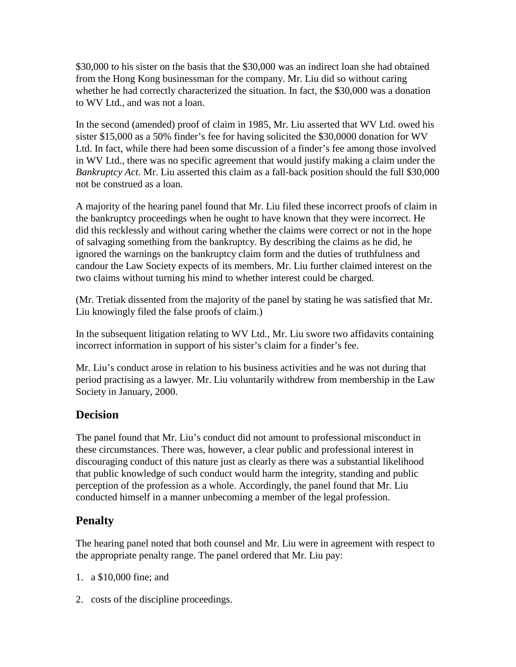\$30,000 to his sister on the basis that the \$30,000 was an indirect loan she had obtained from the Hong Kong businessman for the company. Mr. Liu did so without caring whether he had correctly characterized the situation. In fact, the \$30,000 was a donation to WV Ltd., and was not a loan.

In the second (amended) proof of claim in 1985, Mr. Liu asserted that WV Ltd. owed his sister \$15,000 as a 50% finder's fee for having solicited the \$30,0000 donation for WV Ltd. In fact, while there had been some discussion of a finder's fee among those involved in WV Ltd., there was no specific agreement that would justify making a claim under the *Bankruptcy Act.* Mr. Liu asserted this claim as a fall-back position should the full \$30,000 not be construed as a loan.

A majority of the hearing panel found that Mr. Liu filed these incorrect proofs of claim in the bankruptcy proceedings when he ought to have known that they were incorrect. He did this recklessly and without caring whether the claims were correct or not in the hope of salvaging something from the bankruptcy. By describing the claims as he did, he ignored the warnings on the bankruptcy claim form and the duties of truthfulness and candour the Law Society expects of its members. Mr. Liu further claimed interest on the two claims without turning his mind to whether interest could be charged.

(Mr. Tretiak dissented from the majority of the panel by stating he was satisfied that Mr. Liu knowingly filed the false proofs of claim.)

In the subsequent litigation relating to WV Ltd., Mr. Liu swore two affidavits containing incorrect information in support of his sister's claim for a finder's fee.

Mr. Liu's conduct arose in relation to his business activities and he was not during that period practising as a lawyer. Mr. Liu voluntarily withdrew from membership in the Law Society in January, 2000.

## **Decision**

The panel found that Mr. Liu's conduct did not amount to professional misconduct in these circumstances. There was, however, a clear public and professional interest in discouraging conduct of this nature just as clearly as there was a substantial likelihood that public knowledge of such conduct would harm the integrity, standing and public perception of the profession as a whole. Accordingly, the panel found that Mr. Liu conducted himself in a manner unbecoming a member of the legal profession.

# **Penalty**

The hearing panel noted that both counsel and Mr. Liu were in agreement with respect to the appropriate penalty range. The panel ordered that Mr. Liu pay:

- 1. a \$10,000 fine; and
- 2. costs of the discipline proceedings.